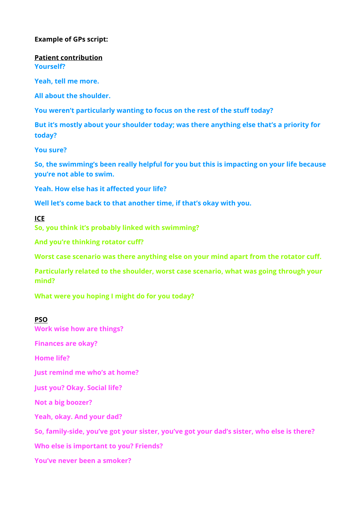## **Example of GPs script:**

**Patient contribution Yourself?** 

**Yeah, tell me more.** 

**All about the shoulder.** 

**You weren't particularly wanting to focus on the rest of the stuff today?** 

**But it's mostly about your shoulder today; was there anything else that's a priority for today?** 

**You sure?** 

**So, the swimming's been really helpful for you but this is impacting on your life because you're not able to swim.** 

**Yeah. How else has it affected your life?** 

**Well let's come back to that another time, if that's okay with you.**

**ICE** 

**So, you think it's probably linked with swimming?** 

**And you're thinking rotator cuff?** 

**Worst case scenario was there anything else on your mind apart from the rotator cuff.** 

**Particularly related to the shoulder, worst case scenario, what was going through your mind?** 

**What were you hoping I might do for you today?**

#### **PSO**

**Work wise how are things?**

**Finances are okay?** 

**Home life?** 

**Just remind me who's at home?** 

**Just you? Okay. Social life?** 

**Not a big boozer?** 

**Yeah, okay. And your dad?** 

**So, family-side, you've got your sister, you've got your dad's sister, who else is there?** 

**Who else is important to you? Friends?** 

**You've never been a smoker?**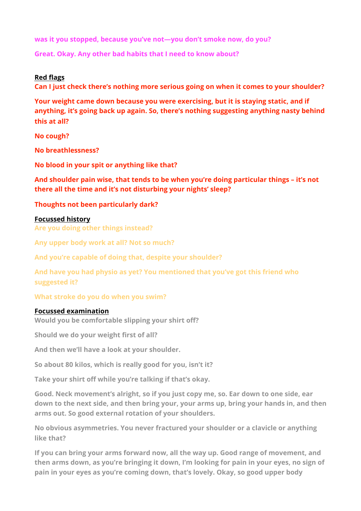**was it you stopped, because you've not—you don't smoke now, do you?** 

**Great. Okay. Any other bad habits that I need to know about?**

## **Red flags**

**Can I just check there's nothing more serious going on when it comes to your shoulder?** 

**Your weight came down because you were exercising, but it is staying static, and if anything, it's going back up again. So, there's nothing suggesting anything nasty behind this at all?** 

**No cough?** 

**No breathlessness?** 

**No blood in your spit or anything like that?** 

**And shoulder pain wise, that tends to be when you're doing particular things – it's not there all the time and it's not disturbing your nights' sleep?** 

## **Thoughts not been particularly dark?**

#### **Focussed history**

**Are you doing other things instead?** 

**Any upper body work at all? Not so much?** 

**And you're capable of doing that, despite your shoulder?** 

**And have you had physio as yet? You mentioned that you've got this friend who suggested it?** 

**What stroke do you do when you swim?** 

## **Focussed examination**

**Would you be comfortable slipping your shirt off?** 

**Should we do your weight first of all?** 

**And then we'll have a look at your shoulder.** 

**So about 80 kilos, which is really good for you, isn't it?** 

**Take your shirt off while you're talking if that's okay.** 

**Good. Neck movement's alright, so if you just copy me, so. Ear down to one side, ear down to the next side, and then bring your, your arms up, bring your hands in, and then arms out. So good external rotation of your shoulders.** 

**No obvious asymmetries. You never fractured your shoulder or a clavicle or anything like that?** 

**If you can bring your arms forward now, all the way up. Good range of movement, and then arms down, as you're bringing it down, I'm looking for pain in your eyes, no sign of pain in your eyes as you're coming down, that's lovely. Okay, so good upper body**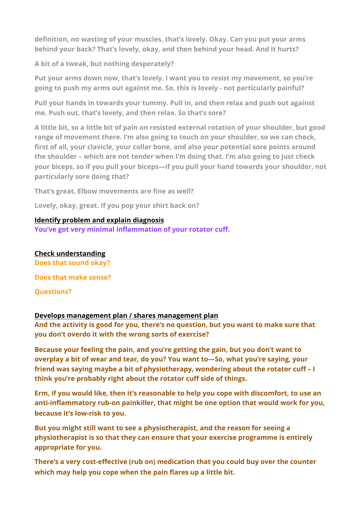**definition, no wasting of your muscles, that's lovely. Okay. Can you put your arms behind your back? That's lovely, okay, and then behind your head. And it hurts?** 

**A bit of a tweak, but nothing desperately?** 

**Put your arms down now, that's lovely. I want you to resist my movement, so you're going to push my arms out against me. So, this is lovely - not particularly painful?** 

**Pull your hands in towards your tummy. Pull in, and then relax and push out against me. Push out, that's lovely, and then relax. So that's sore?** 

**A little bit, so a little bit of pain on resisted external rotation of your shoulder, but good range of movement there. I'm also going to touch on your shoulder, so we can check, first of all, your clavicle, your collar bone, and also your potential sore points around the shoulder – which are not tender when I'm doing that. I'm also going to just check your biceps, so if you pull your biceps—if you pull your hand towards your shoulder, not particularly sore doing that?** 

**That's great. Elbow movements are fine as well?** 

**Lovely, okay, great. If you pop your shirt back on?** 

## **Identify problem and explain diagnosis**

**You've got very minimal inflammation of your rotator cuff.**

**Check understanding Does that sound okay?** 

**Does that make sense?** 

**Questions?**

# **Develops management plan / shares management plan**

**And the activity is good for you, there's no question, but you want to make sure that you don't overdo it with the wrong sorts of exercise?** 

**Because your feeling the pain, and you're getting the gain, but you don't want to overplay a bit of wear and tear, do you? You want to—So, what you're saying, your friend was saying maybe a bit of physiotherapy, wondering about the rotator cuff – I think you're probably right about the rotator cuff side of things.** 

**Erm, if you would like, then it's reasonable to help you cope with discomfort, to use an anti-inflammatory rub-on painkiller, that might be one option that would work for you, because it's low-risk to you.** 

**But you might still want to see a physiotherapist, and the reason for seeing a physiotherapist is so that they can ensure that your exercise programme is entirely appropriate for you.** 

**There's a very cost-effective (rub on) medication that you could buy over the counter which may help you cope when the pain flares up a little bit.**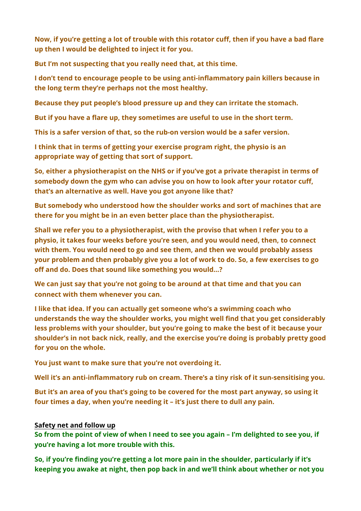**Now, if you're getting a lot of trouble with this rotator cuff, then if you have a bad flare up then I would be delighted to inject it for you.** 

**But I'm not suspecting that you really need that, at this time.** 

**I don't tend to encourage people to be using anti-inflammatory pain killers because in the long term they're perhaps not the most healthy.** 

**Because they put people's blood pressure up and they can irritate the stomach.** 

**But if you have a flare up, they sometimes are useful to use in the short term.** 

**This is a safer version of that, so the rub-on version would be a safer version.**

**I think that in terms of getting your exercise program right, the physio is an appropriate way of getting that sort of support.** 

**So, either a physiotherapist on the NHS or if you've got a private therapist in terms of somebody down the gym who can advise you on how to look after your rotator cuff, that's an alternative as well. Have you got anyone like that?** 

**But somebody who understood how the shoulder works and sort of machines that are there for you might be in an even better place than the physiotherapist.** 

**Shall we refer you to a physiotherapist, with the proviso that when I refer you to a physio, it takes four weeks before you're seen, and you would need, then, to connect with them. You would need to go and see them, and then we would probably assess your problem and then probably give you a lot of work to do. So, a few exercises to go off and do. Does that sound like something you would…?** 

**We can just say that you're not going to be around at that time and that you can connect with them whenever you can.** 

**I like that idea. If you can actually get someone who's a swimming coach who understands the way the shoulder works, you might well find that you get considerably less problems with your shoulder, but you're going to make the best of it because your shoulder's in not back nick, really, and the exercise you're doing is probably pretty good for you on the whole.** 

**You just want to make sure that you're not overdoing it.** 

**Well it's an anti-inflammatory rub on cream. There's a tiny risk of it sun-sensitising you.** 

**But it's an area of you that's going to be covered for the most part anyway, so using it four times a day, when you're needing it – it's just there to dull any pain.** 

# **Safety net and follow up**

**So from the point of view of when I need to see you again – I'm delighted to see you, if you're having a lot more trouble with this.** 

**So, if you're finding you're getting a lot more pain in the shoulder, particularly if it's keeping you awake at night, then pop back in and we'll think about whether or not you**